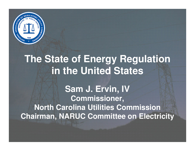

#### **The State of Energy Regulation in the United States**

**Sam J. Ervin, IVCommissioner, North Carolina Utilities CommissionChairman, NARUC Committee on Electricity**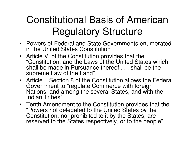## Constitutional Basis of American Regulatory Structure

- Powers of Federal and State Governments enumeratedin the United States Constitution
- Article VI of the Constitution provides that the "Constitution, and the Laws of the United States which shall be made in Pursuance thereof . . . shall be the supreme Law of the Land"
- Article I, Section 8 of the Constitution allows the Federal Government to "regulate Commerce with foreign Nations, and among the several States, and with theIndian Tribes"
- Tenth Amendment to the Constitution provides that the "Powers not delegated to the United States by the Constitution, nor prohibited to it by the States, are reserved to the States respectively, or to the people"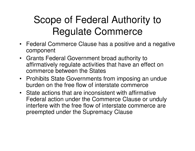## Scope of Federal Authority to Regulate Commerce

- Federal Commerce Clause has a positive and a negative component
- Grants Federal Government broad authority to affirmatively regulate activities that have an effect on commerce between the States
- Prohibits State Governments from imposing an undueburden on the free flow of interstate commerce
- State actions that are inconsistent with affirmative Federal action under the Commerce Clause or unduly interfere with the free flow of interstate commerce are preempted under the Supremacy Clause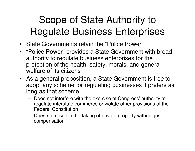## Scope of State Authority to Regulate Business Enterprises

- State Governments retain the "Police Power"
- "Police Power" provides a State Government with broad authority to regulate business enterprises for the protection of the health, safety, morals, and general welfare of its citizens
- As a general proposition, a State Government is free to adopt any scheme for regulating businesses it prefers as long as that scheme
	- Doos not intorforo v Does not interfere with the exercise of Congress' authority to regulate interstate commerce or violate other provisions of the Federal Constitution
	- – Does not result in the taking of private property without just compensation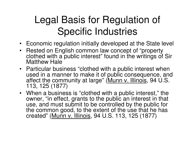## Legal Basis for Regulation of Specific Industries

- Economic regulation initially developed at the State level
- Rested on English common law concept of "property clothed with a public interest" found in the writings of Sir Matthew Hale
- Particular business "clothed with a public interest when used in a manner to make it of public consequence, and affect the community at large" (Munn v. Illinois, 94 U.S. 113, 125 (1877)
- When a business is "clothed with a public interest," the owner, "in effect, grants to the public an interest in that use, and must submit to be controlled by the public for the common good, to the extent of the use that he has created" (Munn v. Illinois, 94 U.S. 113, 125 (1877)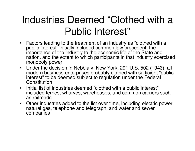#### Industries Deemed "Clothed with a Public Interest"

- Factors leading to the treatment of an industry as "clothed with a public interest" initially included common law precedent, the importance of the industry to the economic life of the State and nation, and the extent to which participants in that industry exercised monopoly power
- Under the decision in Nebbia v. New York, 291 U.S. 502 (1943), all modern business enterprises probably clothed with sufficient "public interest" to be deemed subject to regulation under the Federal **Constitution**
- Initial list of industries deemed "clothed with a public interest"• included ferries, wharves, warehouses, and common carriers such as railroads
- Other industries added to the list over time, including electric power, •natural gas, telephone and telegraph, and water and sewer companies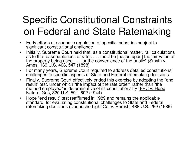## Specific Constitutional Constraints on Federal and State Ratemaking

- $\bullet$  Early efforts at economic regulation of specific industries subject to significant constitutional challenge
- Initially, Supreme Court held that, as a constitutional matter, "all calculations  $\bullet$ as to the reasonableness of rates . . . must be [based upon] the fair value of the property being used  $\dots$  for the convenience of the public" (Smyth  $v$ . Ames, 169 U.S. 466, 547 (1898)
- For many years, Supreme Court required to address detailed constitutional challenges to specific aspects of State and Federal ratemaking decisions
- Finally, Supreme Court effectively ended this exercise by adopting the "end  $\bullet$ result" test, under which "the impact of the rate order" rather than "the method employed" is determinative of its constitutionality (FPC v. Hope Natural Gas, 320 U.S. 591, 602 (1944)
- •Hope "end result" test reaffirmed in 1989 and remains the applicable<br>atopderd for evolucting constitutional obellences to State and Eaders standard for evaluating constitutional challenges to State and Federal ratemaking decisions (Duquesne Light Co. v. Barash, 488 U.S. 299 (1989)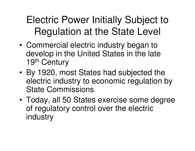Electric Power Initially Subject to Regulation at the State Level

- • Commercial electric industry began to develop in the United States in the late 19<sup>th</sup> Century
- • By 1920, most States had subjected the electric industry to economic regulation by State Commissions
- • Today, all 50 States exercise some degree of regulatory control over the electric industry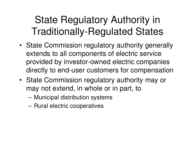#### State Regulatory Authority in Traditionally-Regulated States

- State Commission regulatory authority generally extends to all components of electric service provided by investor-owned electric companies directly to end-user customers for compensation
- State Commission regulatory authority may or may not extend, in whole or in part, to
	- –Municipal distribution systems
	- **Links of the Common** Rural electric cooperatives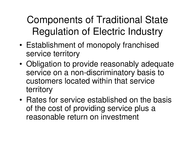Components of Traditional State Regulation of Electric Industry

- • Establishment of monopoly franchised service territory
- • Obligation to provide reasonably adequate service on a non-discriminatory basis to customers located within that service territory
- • Rates for service established on the basis of the cost of providing service plus a reasonable return on investment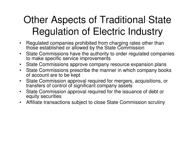## Other Aspects of Traditional State Regulation of Electric Industry

- $\bullet$  Regulated companies prohibited from charging rates other than those established or allowed by the State Commission
- State Commissions have the authority to order regulated companies  $\bullet$ to make specific service improvements
- State Commissions approve company resource expansion plans $\bullet$
- State Commissions prescribe the manner in which company books  $\bullet$ of account are to be kept
- $\bullet$  State Commission approval required for mergers, acquisitions, ortransfers of control of significant company assets
- State Commission approval required for the issuance of debt or •equity securities
- Affiliate transactions subject to close State Commission scrutiny $\bullet$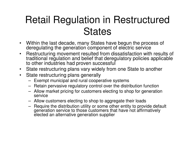#### Retail Regulation in Restructured **States**

- $\bullet$  Within the last decade, many States have begun the process of deregulating the generation component of electric service
- Restructuring movement resulted from dissatisfaction with results of  $\bullet$ traditional regulation and belief that deregulatory policies applicable to other industries had proven successful
- $\bullet$ State restructuring plans vary widely from one State to another
- • State restructuring plans generally
	- Exempt municipal and rural cooperative systems
	- Retain pervasive regulatory control over the distribution function
	- Allow market pricing for customers electing to shop for generation service
	- Allow customers electing to shop to aggregate their loads
	- Require the distribution utility or some other entity to provide default generation service to those customers that have not affirmatively elected an alternative generation supplier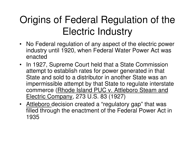## Origins of Federal Regulation of the Electric Industry

- No Federal regulation of any aspect of the electric power industry until 1920, when Federal Water Power Act was enacted
- In 1927, Supreme Court held that a State Commission attempt to establish rates for power generated in that State and sold to a distributor in another State was an impermissible attempt by that State to regulate interstate commerce (Rhode Island PUC v. Attleboro Steam and Electric Company, 273 U.S. 83 (1927)
- Attleboro decision created a "regulatory gap" that was filled through the enactment of the Federal Power Act in 1935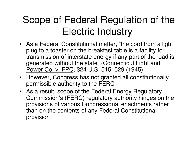## Scope of Federal Regulation of the Electric Industry

- As a Federal Constitutional matter, "the cord from a light plug to a toaster on the breakfast table is a facility for transmission of interstate energy if any part of the load is generated without the state" (Connecticut Light and Power Co. v. FPC, 324 U.S. 515, 529 (1945)
- However, Congress has not granted all constitutionally permissible authority to the FERC
- As a result, scope of the Federal Energy Regulatory Commission's (FERC) regulatory authority hinges on the provisions of various Congressional enactments rather than on the contents of any Federal Constitutional provision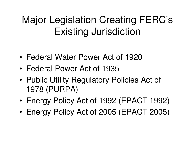## Major Legislation Creating FERC's Existing Jurisdiction

- •Federal Water Power Act of 1920
- •Federal Power Act of 1935
- • Public Utility Regulatory Policies Act of 1978 (PURPA)
- •Energy Policy Act of 1992 (EPACT 1992)
- •Energy Policy Act of 2005 (EPACT 2005)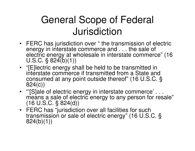#### General Scope of Federal **Jurisdiction**

- FERC has jurisdiction over " the transmission of electric energy in interstate commerce and . . . the sale of electric energy at wholesale in interstate commerce" (16 U.S.C.  $\S$  824(b)(1))
- "[E]lectric energy shall be held to be transmitted in interstate commerce if transmitted from a State andconsumed at any point outside thereof" (16 U.S.C. §824(c))
- "'[S]ale of electric energy in interstate commerce' . . . means a sale of electric energy to any person for resale" (16 U.S.C. § 824(d))
- FERC has "jurisdiction over all facilities for such transmission or sale of electric energy" (16 U.S.C. §824(b)(1))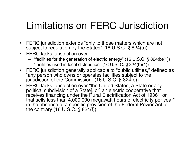#### Limitations on FERC Jurisdiction

- $\bullet$  FERC jurisdiction extends "only to those matters which are not subject to regulation by the States" (16 U.S.C. § 824(a))
- FERC lacks jurisdiction over
	- "facilities for the generation of electric energy" (16 U.S.C. § 824(b)(1))
	- "facilities used in local distribution" (16 U.S. C. § 824(b)(1))
- FERC jurisdiction generally applicable to "public utilities," defined as "any person who owns or operates facilities subject to the jurisdiction of the Commission" (16 U.S.C. § 824(e))
- FERC lacks jurisdiction over "the United States, a State or any political subdivision of a State[, or] an electric cooperative that receives financing under the Rural Electrification Act of 1936" "or that sells less than 4,000,000 megawatt hours of electricity per year"in the absence of a specific provision of the Federal Power Act to the contrary (16 U.S.C. § 824(f))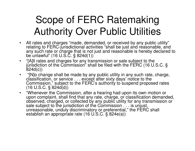## Scope of FERC Ratemaking Authority Over Public Utilities

- $\bullet$  All rates and charges "made, demanded, or received by any public utility" relating to FERC-jurisdictional activities "shall be just and reasonable, and any such rate or charge that is not just and reasonable is hereby declared to be unlawful" (16 U.S.C. § 824d(1))
- "[A]ll rates and charges for any transmission or sale subject to the •jurisdiction of the Commission" shall be filed with the FERC (16 U.S.C. §824d(c))
- $\bullet$  "[N]o change shall be made by any public utility in any such rate, charge, classification, or service . . . except after sixty days' notice to the Commission," subject to the FERC's authority to suspend proposed rates (16 U.S.C. § 824d(d))
- "Whenever the Commission, after a hearing had upon its own motion or upon complaint, shall find that any rate, charge, or classification demanded, observed, charged, or collected by any public utility for any transmission or sale subject to the jurisdiction of the Commission . . . is unjust, unreasonable, unduly discriminatory or preferential," the FERC shall<br>establish an appropriate rate (16 U.S.C. § 824e(a))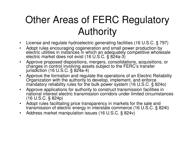## Other Areas of FERC Regulatory **Authority**

- $\bullet$ License and regulate hydroelectric generating facilities (16 U.S.C. § 797)
- Adopt rules encouraging cogeneration and small power production by  $\bullet$ electric utilities in instances in which an adequately competitive wholesale electric market does not exist (16 U.S.C. § 824a-3)
- Approve proposed dispositions, mergers, consolidations, acquisitions, or •changes in control involving assets subject to the FERC's transfer jurisdiction (16 U.S.C. § 824a-4)
- $\bullet$  Approve the formation and regulate the operations of an Electric Reliability Organization with the authority to develop, implement, and enforce mandatory reliability rules for the bulk power system (16 U.S.C. § 824o)
- $\bullet$  Approve applications for authority to construct transmission facilities in national interest electric transmission corridors under limited circumstances (16 U.S.C. § 824p)
- Adopt rules facilitating price transparency in markets for the sale and •transmission of electric energy in interstate commerce (16 U.S.C. § 824t)
- $\bullet$ Address market manipulation issues (16 U.S.C. § 824v)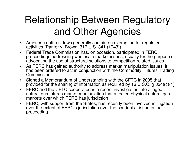## Relationship Between Regulatory and Other Agencies

- $\bullet$  American antitrust laws generally contain an exemption for regulated activities (Parker v. Brown, 317 U.S. 341 (1943))
- Federal Trade Commission has, on occasion, participated in FERC  $\bullet$ proceedings addressing wholesale market issues, usually for the purpose of advocating the use of structural solutions to competition-related issues
- $\bullet$  As FERC has gained authority to address market manipulation issues, it has been ordered to act in conjunction with the Commodity Futures Trading Commission
- Signed a Memorandum of Understanding with the CFTC in 2005 that  $\bullet$ provided for the sharing of information as required by 16 U.S.C. § 824t(c)(1)
- $\bullet$  FERC and the CFTC cooperated in a recent investigation into alleged natural gas futures market manipulation that affected physical natural gas markets over which FERC has jurisdiction
- • FERC, with support from the States, has recently been involved in litigation over the extent of FERC's jurisdiction over the conduct at issue in that proceeding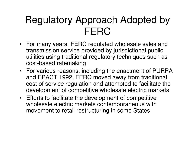#### Regulatory Approach Adopted by FERC

- For many years, FERC regulated wholesale sales andtransmission service provided by jurisdictional public utilities using traditional regulatory techniques such as cost-based ratemaking
- For various reasons, including the enactment of PURPA and EPACT 1992, FERC moved away from traditional cost of service regulation and attempted to facilitate the development of competitive wholesale electric markets
- Efforts to facilitate the development of competitive wholesale electric markets contemporaneous with movement to retail restructuring in some States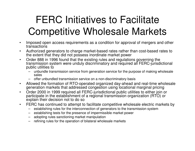## FERC Initiatives to Facilitate Competitive Wholesale Markets

- • Imposed open access requirements as a condition for approval of mergers and other transactions
- Authorized generators to charge market-based rates rather than cost-based rates to •the extent that they did not possess inordinate market power
- Order 888 in 1996 found that the existing rules and regulations governing the •transmission system were unduly discriminatory and required all FERC-jurisdictional public utilities to
	- unbundle transmission service from generation service for the purpose of making wholesale sales
	- offer unbundled transmission service on a non-discriminatory basis
- Allowed the formation of RTO-operated organized day-ahead and real-time wholesale  $\bullet$ generation markets that addressed congestion using locational marginal pricing
- Order 2000 in 1999 required all FERC-jurisdictional public utilities to either join or •participate in the establishment of a regional transmission organization (RTO) or explain their decision not to do so
- FERC has continued to attempt to facilitate competitive wholesale electric markets by $\bullet$ 
	- establishing rules for the interconnection of generators to the transmission system
	- establishing tests for the presence of impermissible market power
	- adopting rules sanctioning market manipulation
	- refining rules for the operation of bilateral wholesale markets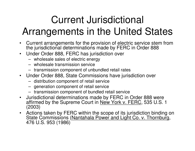## Current Jurisdictional Arrangements in the United States

- $\bullet$  Current arrangements for the provision of electric service stem from the jurisdictional determinations made by FERC in Order 888
- Under Order 888, FERC has jurisdiction over
	- wholesale sales of electric energy
	- wholesale transmission service
	- transmission component of unbundled retail rates
- Under Order 888, State Commissions have jurisdiction over
	- distribution component of retail service
	- generation component of retail service
	- transmission component of bundled retail service
- Jurisdictional determinations made by FERC in Order 888 were •affirmed by the Supreme Court in New York v. FERC, 535 U.S. 1 (2003)
- Actions taken by FERC within the scope of its jurisdiction binding on State Commissions (<u>Nantahala Power and Light Co. v. Thornburg,</u> 476 U.S. 953 (1986)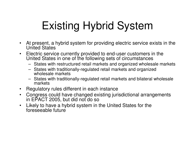# Existing Hybrid System

- $\bullet$  At present, a hybrid system for providing electric service exists in the United States
- Electric service currently provided to end-user customers in the  $\bullet$ United States in one of the following sets of circumstances
	- States with restructured retail markets and organized wholesale markets
	- States with traditionally-regulated retail markets and organized wholesale markets
	- States with traditionally-regulated retail markets and bilateral wholesale markets
- Regulatory rules different in each instance $\bullet$
- Congress could have changed existing jurisdictional arrangements in EPACT 2005, but did not do so $\bullet$
- Likely to have a hybrid system in the United States for the •foreseeable future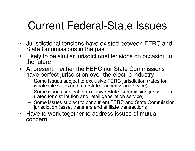## Current Federal-State Issues

- Jurisdictional tensions have existed between FERC and State Commissions in the past
- $\bullet$  Likely to be similar jurisdictional tensions on occasion in the future
- At present, neither the FERC nor State Commissionshave perfect jurisdiction over the electric industry
	- $-$  Same issues subject to evalusive FFRC iurisdiction (r. Some issues subject to exclusive FERC jurisdiction (rates for wholesale sales and interstate transmission service)
	- **Lating Contract**  Some issues subject to exclusive State Commission jurisdiction (rates for distribution and retail generation service)
	- – Some issues subject to concurrent FERC and State Commission jurisdiction (asset transfers and affiliate transactions
- Have to work together to address issues of mutual concern